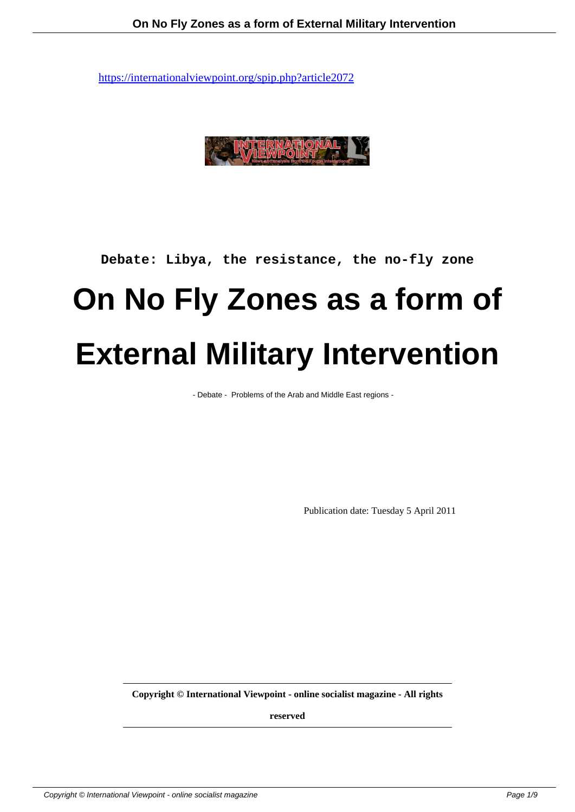

### **Debate: Libya, the resistance, the no-fly zone**

# **On No Fly Zones as a form of External Military Intervention**

- Debate - Problems of the Arab and Middle East regions -

Publication date: Tuesday 5 April 2011

**Copyright © International Viewpoint - online socialist magazine - All rights**

**reserved**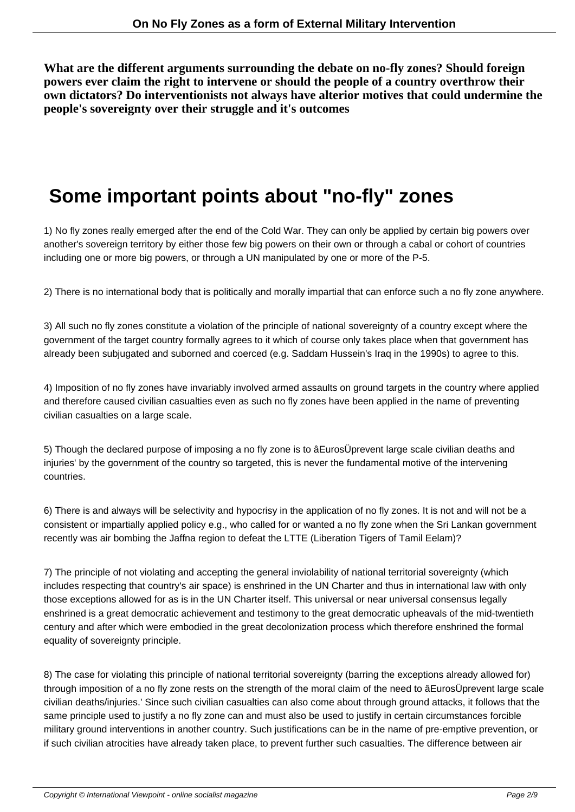**What are the different arguments surrounding the debate on no-fly zones? Should foreign powers ever claim the right to intervene or should the people of a country overthrow their own dictators? Do interventionists not always have alterior motives that could undermine the people's sovereignty over their struggle and it's outcomes**

## **Some important points about "no-fly" zones**

1) No fly zones really emerged after the end of the Cold War. They can only be applied by certain big powers over another's sovereign territory by either those few big powers on their own or through a cabal or cohort of countries including one or more big powers, or through a UN manipulated by one or more of the P-5.

2) There is no international body that is politically and morally impartial that can enforce such a no fly zone anywhere.

3) All such no fly zones constitute a violation of the principle of national sovereignty of a country except where the government of the target country formally agrees to it which of course only takes place when that government has already been subjugated and suborned and coerced (e.g. Saddam Hussein's Iraq in the 1990s) to agree to this.

4) Imposition of no fly zones have invariably involved armed assaults on ground targets in the country where applied and therefore caused civilian casualties even as such no fly zones have been applied in the name of preventing civilian casualties on a large scale.

5) Though the declared purpose of imposing a no fly zone is to âEurosÜprevent large scale civilian deaths and injuries' by the government of the country so targeted, this is never the fundamental motive of the intervening countries.

6) There is and always will be selectivity and hypocrisy in the application of no fly zones. It is not and will not be a consistent or impartially applied policy e.g., who called for or wanted a no fly zone when the Sri Lankan government recently was air bombing the Jaffna region to defeat the LTTE (Liberation Tigers of Tamil Eelam)?

7) The principle of not violating and accepting the general inviolability of national territorial sovereignty (which includes respecting that country's air space) is enshrined in the UN Charter and thus in international law with only those exceptions allowed for as is in the UN Charter itself. This universal or near universal consensus legally enshrined is a great democratic achievement and testimony to the great democratic upheavals of the mid-twentieth century and after which were embodied in the great decolonization process which therefore enshrined the formal equality of sovereignty principle.

8) The case for violating this principle of national territorial sovereignty (barring the exceptions already allowed for) through imposition of a no fly zone rests on the strength of the moral claim of the need to âEurosÜprevent large scale civilian deaths/injuries.' Since such civilian casualties can also come about through ground attacks, it follows that the same principle used to justify a no fly zone can and must also be used to justify in certain circumstances forcible military ground interventions in another country. Such justifications can be in the name of pre-emptive prevention, or if such civilian atrocities have already taken place, to prevent further such casualties. The difference between air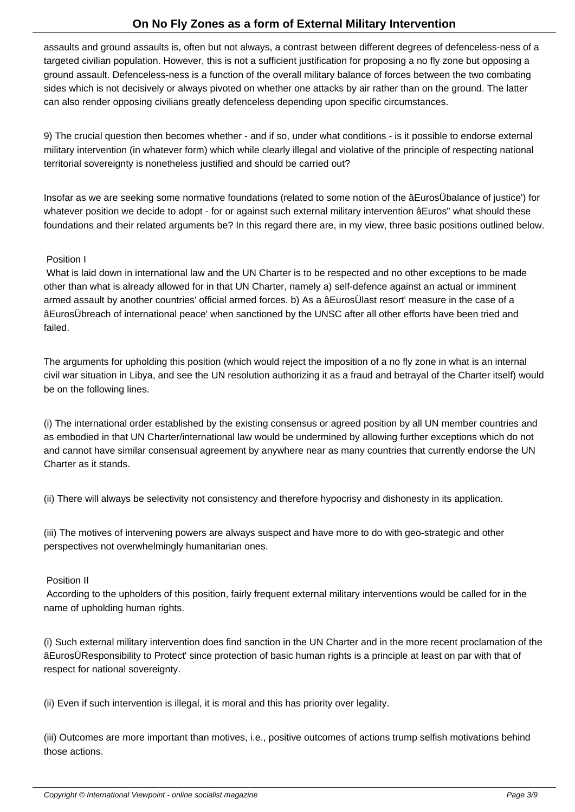assaults and ground assaults is, often but not always, a contrast between different degrees of defenceless-ness of a targeted civilian population. However, this is not a sufficient justification for proposing a no fly zone but opposing a ground assault. Defenceless-ness is a function of the overall military balance of forces between the two combating sides which is not decisively or always pivoted on whether one attacks by air rather than on the ground. The latter can also render opposing civilians greatly defenceless depending upon specific circumstances.

9) The crucial question then becomes whether - and if so, under what conditions - is it possible to endorse external military intervention (in whatever form) which while clearly illegal and violative of the principle of respecting national territorial sovereignty is nonetheless justified and should be carried out?

Insofar as we are seeking some normative foundations (related to some notion of the âEurosÜbalance of justice') for whatever position we decide to adopt - for or against such external military intervention âEuros" what should these foundations and their related arguments be? In this regard there are, in my view, three basic positions outlined below.

#### Position I

 What is laid down in international law and the UN Charter is to be respected and no other exceptions to be made other than what is already allowed for in that UN Charter, namely a) self-defence against an actual or imminent armed assault by another countries' official armed forces. b) As a âEurosÜlast resort' measure in the case of a âEurosÜbreach of international peace' when sanctioned by the UNSC after all other efforts have been tried and failed.

The arguments for upholding this position (which would reject the imposition of a no fly zone in what is an internal civil war situation in Libya, and see the UN resolution authorizing it as a fraud and betrayal of the Charter itself) would be on the following lines.

(i) The international order established by the existing consensus or agreed position by all UN member countries and as embodied in that UN Charter/international law would be undermined by allowing further exceptions which do not and cannot have similar consensual agreement by anywhere near as many countries that currently endorse the UN Charter as it stands.

(ii) There will always be selectivity not consistency and therefore hypocrisy and dishonesty in its application.

(iii) The motives of intervening powers are always suspect and have more to do with geo-strategic and other perspectives not overwhelmingly humanitarian ones.

#### Position II

 According to the upholders of this position, fairly frequent external military interventions would be called for in the name of upholding human rights.

(i) Such external military intervention does find sanction in the UN Charter and in the more recent proclamation of the âEurosÜResponsibility to Protect' since protection of basic human rights is a principle at least on par with that of respect for national sovereignty.

(ii) Even if such intervention is illegal, it is moral and this has priority over legality.

(iii) Outcomes are more important than motives, i.e., positive outcomes of actions trump selfish motivations behind those actions.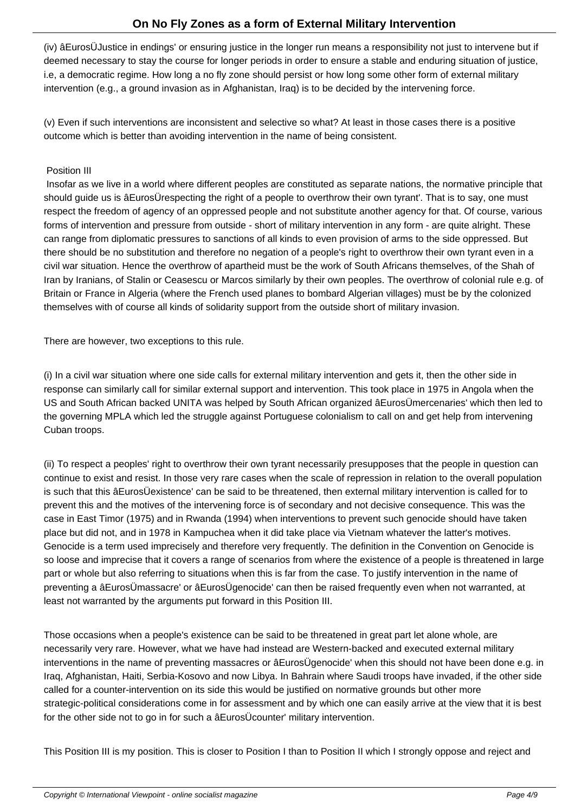(iv) âEurosÜJustice in endings' or ensuring justice in the longer run means a responsibility not just to intervene but if deemed necessary to stay the course for longer periods in order to ensure a stable and enduring situation of justice, i.e, a democratic regime. How long a no fly zone should persist or how long some other form of external military intervention (e.g., a ground invasion as in Afghanistan, Iraq) is to be decided by the intervening force.

(v) Even if such interventions are inconsistent and selective so what? At least in those cases there is a positive outcome which is better than avoiding intervention in the name of being consistent.

#### Position III

 Insofar as we live in a world where different peoples are constituted as separate nations, the normative principle that should guide us is âEurosÜrespecting the right of a people to overthrow their own tyrant'. That is to say, one must respect the freedom of agency of an oppressed people and not substitute another agency for that. Of course, various forms of intervention and pressure from outside - short of military intervention in any form - are quite alright. These can range from diplomatic pressures to sanctions of all kinds to even provision of arms to the side oppressed. But there should be no substitution and therefore no negation of a people's right to overthrow their own tyrant even in a civil war situation. Hence the overthrow of apartheid must be the work of South Africans themselves, of the Shah of Iran by Iranians, of Stalin or Ceasescu or Marcos similarly by their own peoples. The overthrow of colonial rule e.g. of Britain or France in Algeria (where the French used planes to bombard Algerian villages) must be by the colonized themselves with of course all kinds of solidarity support from the outside short of military invasion.

There are however, two exceptions to this rule.

(i) In a civil war situation where one side calls for external military intervention and gets it, then the other side in response can similarly call for similar external support and intervention. This took place in 1975 in Angola when the US and South African backed UNITA was helped by South African organized âEurosÜmercenaries' which then led to the governing MPLA which led the struggle against Portuguese colonialism to call on and get help from intervening Cuban troops.

(ii) To respect a peoples' right to overthrow their own tyrant necessarily presupposes that the people in question can continue to exist and resist. In those very rare cases when the scale of repression in relation to the overall population is such that this âEurosÜexistence' can be said to be threatened, then external military intervention is called for to prevent this and the motives of the intervening force is of secondary and not decisive consequence. This was the case in East Timor (1975) and in Rwanda (1994) when interventions to prevent such genocide should have taken place but did not, and in 1978 in Kampuchea when it did take place via Vietnam whatever the latter's motives. Genocide is a term used imprecisely and therefore very frequently. The definition in the Convention on Genocide is so loose and imprecise that it covers a range of scenarios from where the existence of a people is threatened in large part or whole but also referring to situations when this is far from the case. To justify intervention in the name of preventing a âEurosÜmassacre' or âEurosÜgenocide' can then be raised frequently even when not warranted, at least not warranted by the arguments put forward in this Position III.

Those occasions when a people's existence can be said to be threatened in great part let alone whole, are necessarily very rare. However, what we have had instead are Western-backed and executed external military interventions in the name of preventing massacres or âEurosÜgenocide' when this should not have been done e.g. in Iraq, Afghanistan, Haiti, Serbia-Kosovo and now Libya. In Bahrain where Saudi troops have invaded, if the other side called for a counter-intervention on its side this would be justified on normative grounds but other more strategic-political considerations come in for assessment and by which one can easily arrive at the view that it is best for the other side not to go in for such a âEurosÜcounter' military intervention.

This Position III is my position. This is closer to Position I than to Position II which I strongly oppose and reject and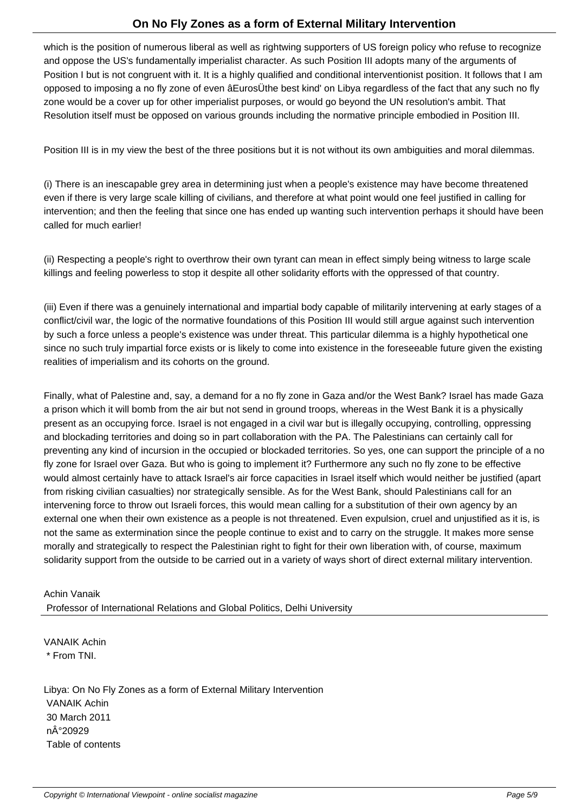which is the position of numerous liberal as well as rightwing supporters of US foreign policy who refuse to recognize and oppose the US's fundamentally imperialist character. As such Position III adopts many of the arguments of Position I but is not congruent with it. It is a highly qualified and conditional interventionist position. It follows that I am opposed to imposing a no fly zone of even âEurosÜthe best kind' on Libya regardless of the fact that any such no fly zone would be a cover up for other imperialist purposes, or would go beyond the UN resolution's ambit. That Resolution itself must be opposed on various grounds including the normative principle embodied in Position III.

Position III is in my view the best of the three positions but it is not without its own ambiguities and moral dilemmas.

(i) There is an inescapable grey area in determining just when a people's existence may have become threatened even if there is very large scale killing of civilians, and therefore at what point would one feel justified in calling for intervention; and then the feeling that since one has ended up wanting such intervention perhaps it should have been called for much earlier!

(ii) Respecting a people's right to overthrow their own tyrant can mean in effect simply being witness to large scale killings and feeling powerless to stop it despite all other solidarity efforts with the oppressed of that country.

(iii) Even if there was a genuinely international and impartial body capable of militarily intervening at early stages of a conflict/civil war, the logic of the normative foundations of this Position III would still argue against such intervention by such a force unless a people's existence was under threat. This particular dilemma is a highly hypothetical one since no such truly impartial force exists or is likely to come into existence in the foreseeable future given the existing realities of imperialism and its cohorts on the ground.

Finally, what of Palestine and, say, a demand for a no fly zone in Gaza and/or the West Bank? Israel has made Gaza a prison which it will bomb from the air but not send in ground troops, whereas in the West Bank it is a physically present as an occupying force. Israel is not engaged in a civil war but is illegally occupying, controlling, oppressing and blockading territories and doing so in part collaboration with the PA. The Palestinians can certainly call for preventing any kind of incursion in the occupied or blockaded territories. So yes, one can support the principle of a no fly zone for Israel over Gaza. But who is going to implement it? Furthermore any such no fly zone to be effective would almost certainly have to attack Israel's air force capacities in Israel itself which would neither be justified (apart from risking civilian casualties) nor strategically sensible. As for the West Bank, should Palestinians call for an intervening force to throw out Israeli forces, this would mean calling for a substitution of their own agency by an external one when their own existence as a people is not threatened. Even expulsion, cruel and unjustified as it is, is not the same as extermination since the people continue to exist and to carry on the struggle. It makes more sense morally and strategically to respect the Palestinian right to fight for their own liberation with, of course, maximum solidarity support from the outside to be carried out in a variety of ways short of direct external military intervention.

Achin Vanaik Professor of International Relations and Global Politics, Delhi University

VANAIK Achin \* From TNI.

Libya: On No Fly Zones as a form of External Military Intervention VANAIK Achin 30 March 2011 n°20929 Table of contents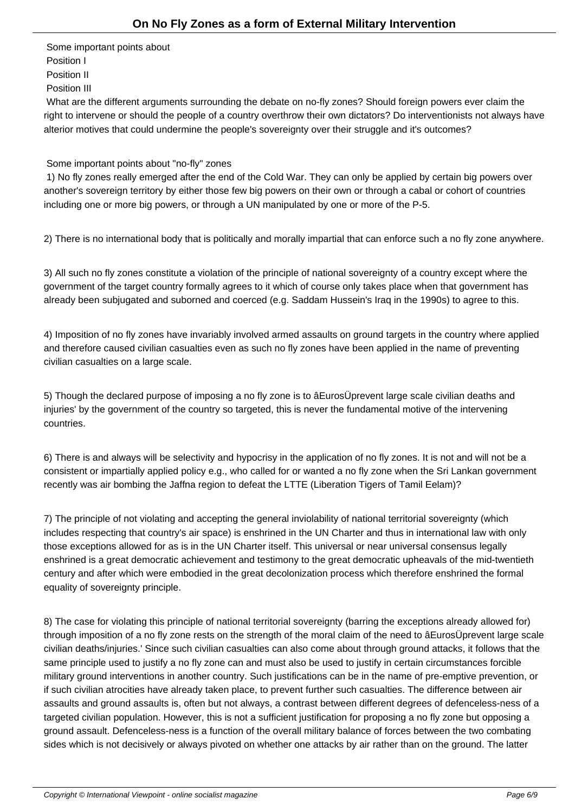Some important points about Position I Position II Position III

 What are the different arguments surrounding the debate on no-fly zones? Should foreign powers ever claim the right to intervene or should the people of a country overthrow their own dictators? Do interventionists not always have alterior motives that could undermine the people's sovereignty over their struggle and it's outcomes?

#### Some important points about "no-fly" zones

 1) No fly zones really emerged after the end of the Cold War. They can only be applied by certain big powers over another's sovereign territory by either those few big powers on their own or through a cabal or cohort of countries including one or more big powers, or through a UN manipulated by one or more of the P-5.

2) There is no international body that is politically and morally impartial that can enforce such a no fly zone anywhere.

3) All such no fly zones constitute a violation of the principle of national sovereignty of a country except where the government of the target country formally agrees to it which of course only takes place when that government has already been subjugated and suborned and coerced (e.g. Saddam Hussein's Iraq in the 1990s) to agree to this.

4) Imposition of no fly zones have invariably involved armed assaults on ground targets in the country where applied and therefore caused civilian casualties even as such no fly zones have been applied in the name of preventing civilian casualties on a large scale.

5) Though the declared purpose of imposing a no fly zone is to âEurosÜprevent large scale civilian deaths and injuries' by the government of the country so targeted, this is never the fundamental motive of the intervening countries.

6) There is and always will be selectivity and hypocrisy in the application of no fly zones. It is not and will not be a consistent or impartially applied policy e.g., who called for or wanted a no fly zone when the Sri Lankan government recently was air bombing the Jaffna region to defeat the LTTE (Liberation Tigers of Tamil Eelam)?

7) The principle of not violating and accepting the general inviolability of national territorial sovereignty (which includes respecting that country's air space) is enshrined in the UN Charter and thus in international law with only those exceptions allowed for as is in the UN Charter itself. This universal or near universal consensus legally enshrined is a great democratic achievement and testimony to the great democratic upheavals of the mid-twentieth century and after which were embodied in the great decolonization process which therefore enshrined the formal equality of sovereignty principle.

8) The case for violating this principle of national territorial sovereignty (barring the exceptions already allowed for) through imposition of a no fly zone rests on the strength of the moral claim of the need to âEurosÜprevent large scale civilian deaths/injuries.' Since such civilian casualties can also come about through ground attacks, it follows that the same principle used to justify a no fly zone can and must also be used to justify in certain circumstances forcible military ground interventions in another country. Such justifications can be in the name of pre-emptive prevention, or if such civilian atrocities have already taken place, to prevent further such casualties. The difference between air assaults and ground assaults is, often but not always, a contrast between different degrees of defenceless-ness of a targeted civilian population. However, this is not a sufficient justification for proposing a no fly zone but opposing a ground assault. Defenceless-ness is a function of the overall military balance of forces between the two combating sides which is not decisively or always pivoted on whether one attacks by air rather than on the ground. The latter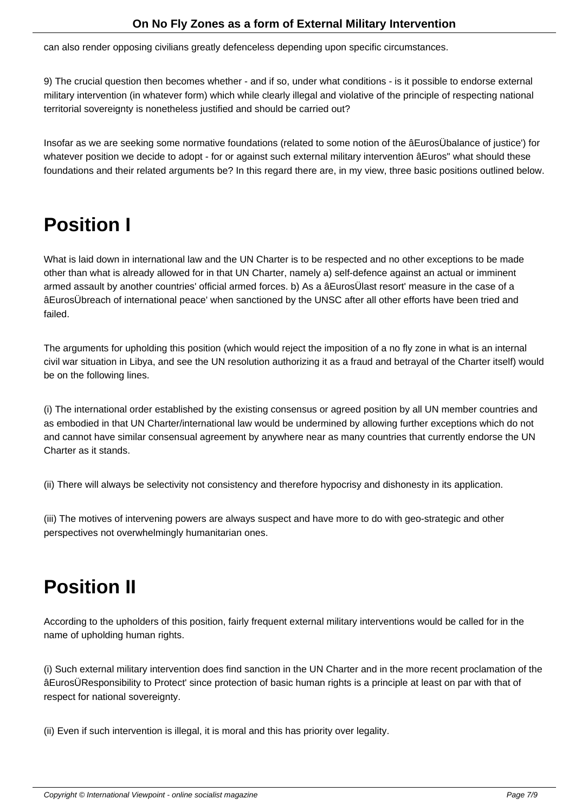can also render opposing civilians greatly defenceless depending upon specific circumstances.

9) The crucial question then becomes whether - and if so, under what conditions - is it possible to endorse external military intervention (in whatever form) which while clearly illegal and violative of the principle of respecting national territorial sovereignty is nonetheless justified and should be carried out?

Insofar as we are seeking some normative foundations (related to some notion of the âEurosÜbalance of justice') for whatever position we decide to adopt - for or against such external military intervention âEuros" what should these foundations and their related arguments be? In this regard there are, in my view, three basic positions outlined below.

## **Position I**

What is laid down in international law and the UN Charter is to be respected and no other exceptions to be made other than what is already allowed for in that UN Charter, namely a) self-defence against an actual or imminent armed assault by another countries' official armed forces. b) As a âEurosÜlast resort' measure in the case of a âEurosÜbreach of international peace' when sanctioned by the UNSC after all other efforts have been tried and failed.

The arguments for upholding this position (which would reject the imposition of a no fly zone in what is an internal civil war situation in Libya, and see the UN resolution authorizing it as a fraud and betrayal of the Charter itself) would be on the following lines.

(i) The international order established by the existing consensus or agreed position by all UN member countries and as embodied in that UN Charter/international law would be undermined by allowing further exceptions which do not and cannot have similar consensual agreement by anywhere near as many countries that currently endorse the UN Charter as it stands.

(ii) There will always be selectivity not consistency and therefore hypocrisy and dishonesty in its application.

(iii) The motives of intervening powers are always suspect and have more to do with geo-strategic and other perspectives not overwhelmingly humanitarian ones.

## **Position II**

According to the upholders of this position, fairly frequent external military interventions would be called for in the name of upholding human rights.

(i) Such external military intervention does find sanction in the UN Charter and in the more recent proclamation of the âEurosÜResponsibility to Protect' since protection of basic human rights is a principle at least on par with that of respect for national sovereignty.

(ii) Even if such intervention is illegal, it is moral and this has priority over legality.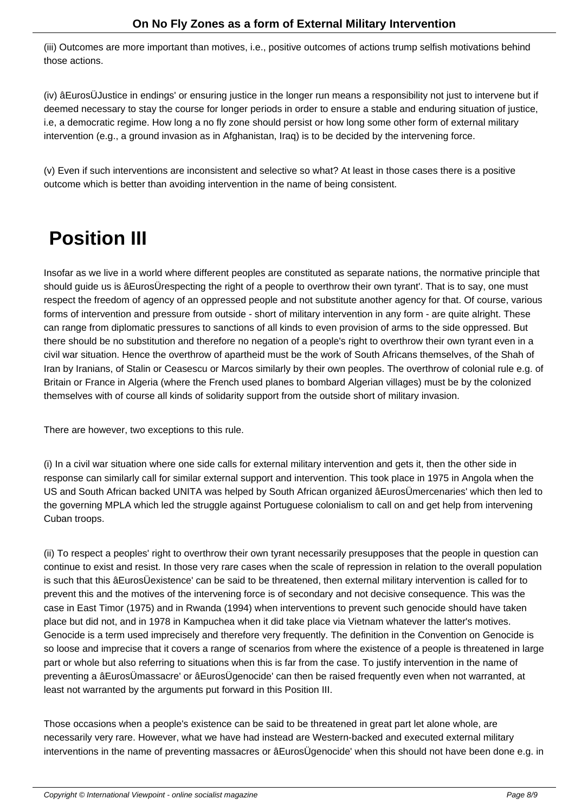(iii) Outcomes are more important than motives, i.e., positive outcomes of actions trump selfish motivations behind those actions.

(iv) âEurosÜJustice in endings' or ensuring justice in the longer run means a responsibility not just to intervene but if deemed necessary to stay the course for longer periods in order to ensure a stable and enduring situation of justice, i.e, a democratic regime. How long a no fly zone should persist or how long some other form of external military intervention (e.g., a ground invasion as in Afghanistan, Iraq) is to be decided by the intervening force.

(v) Even if such interventions are inconsistent and selective so what? At least in those cases there is a positive outcome which is better than avoiding intervention in the name of being consistent.

## **Position III**

Insofar as we live in a world where different peoples are constituted as separate nations, the normative principle that should guide us is âEurosÜrespecting the right of a people to overthrow their own tyrant'. That is to say, one must respect the freedom of agency of an oppressed people and not substitute another agency for that. Of course, various forms of intervention and pressure from outside - short of military intervention in any form - are quite alright. These can range from diplomatic pressures to sanctions of all kinds to even provision of arms to the side oppressed. But there should be no substitution and therefore no negation of a people's right to overthrow their own tyrant even in a civil war situation. Hence the overthrow of apartheid must be the work of South Africans themselves, of the Shah of Iran by Iranians, of Stalin or Ceasescu or Marcos similarly by their own peoples. The overthrow of colonial rule e.g. of Britain or France in Algeria (where the French used planes to bombard Algerian villages) must be by the colonized themselves with of course all kinds of solidarity support from the outside short of military invasion.

There are however, two exceptions to this rule.

(i) In a civil war situation where one side calls for external military intervention and gets it, then the other side in response can similarly call for similar external support and intervention. This took place in 1975 in Angola when the US and South African backed UNITA was helped by South African organized âEurosÜmercenaries' which then led to the governing MPLA which led the struggle against Portuguese colonialism to call on and get help from intervening Cuban troops.

(ii) To respect a peoples' right to overthrow their own tyrant necessarily presupposes that the people in question can continue to exist and resist. In those very rare cases when the scale of repression in relation to the overall population is such that this âEurosÜexistence' can be said to be threatened, then external military intervention is called for to prevent this and the motives of the intervening force is of secondary and not decisive consequence. This was the case in East Timor (1975) and in Rwanda (1994) when interventions to prevent such genocide should have taken place but did not, and in 1978 in Kampuchea when it did take place via Vietnam whatever the latter's motives. Genocide is a term used imprecisely and therefore very frequently. The definition in the Convention on Genocide is so loose and imprecise that it covers a range of scenarios from where the existence of a people is threatened in large part or whole but also referring to situations when this is far from the case. To justify intervention in the name of preventing a âEurosÜmassacre' or âEurosÜgenocide' can then be raised frequently even when not warranted, at least not warranted by the arguments put forward in this Position III.

Those occasions when a people's existence can be said to be threatened in great part let alone whole, are necessarily very rare. However, what we have had instead are Western-backed and executed external military interventions in the name of preventing massacres or âEurosÜgenocide' when this should not have been done e.g. in